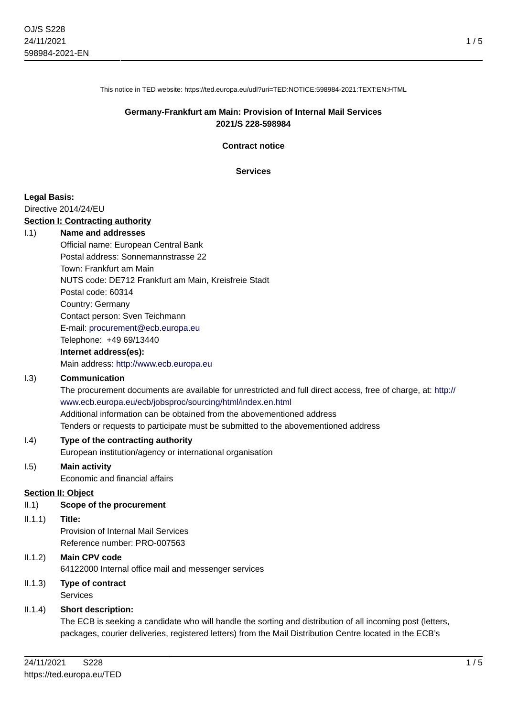This notice in TED website: https://ted.europa.eu/udl?uri=TED:NOTICE:598984-2021:TEXT:EN:HTML

## **Germany-Frankfurt am Main: Provision of Internal Mail Services 2021/S 228-598984**

**Contract notice**

**Services**

## **Legal Basis:**

Directive 2014/24/EU

#### **Section I: Contracting authority**

#### I.1) **Name and addresses**

Official name: European Central Bank Postal address: Sonnemannstrasse 22 Town: Frankfurt am Main NUTS code: DE712 Frankfurt am Main, Kreisfreie Stadt Postal code: 60314 Country: Germany Contact person: Sven Teichmann E-mail: [procurement@ecb.europa.eu](mailto:procurement@ecb.europa.eu) Telephone: +49 69/13440

## **Internet address(es):**

Main address:<http://www.ecb.europa.eu>

#### I.3) **Communication**

The procurement documents are available for unrestricted and full direct access, free of charge, at: [http://](http://www.ecb.europa.eu/ecb/jobsproc/sourcing/html/index.en.html) [www.ecb.europa.eu/ecb/jobsproc/sourcing/html/index.en.html](http://www.ecb.europa.eu/ecb/jobsproc/sourcing/html/index.en.html) Additional information can be obtained from the abovementioned address

Tenders or requests to participate must be submitted to the abovementioned address

#### I.4) **Type of the contracting authority**

European institution/agency or international organisation

## I.5) **Main activity**

Economic and financial affairs

## **Section II: Object**

#### II.1) **Scope of the procurement**

II.1.1) **Title:**

Provision of Internal Mail Services Reference number: PRO-007563

- II.1.2) **Main CPV code** 64122000 Internal office mail and messenger services
- II.1.3) **Type of contract** Services

#### II.1.4) **Short description:**

The ECB is seeking a candidate who will handle the sorting and distribution of all incoming post (letters, packages, courier deliveries, registered letters) from the Mail Distribution Centre located in the ECB's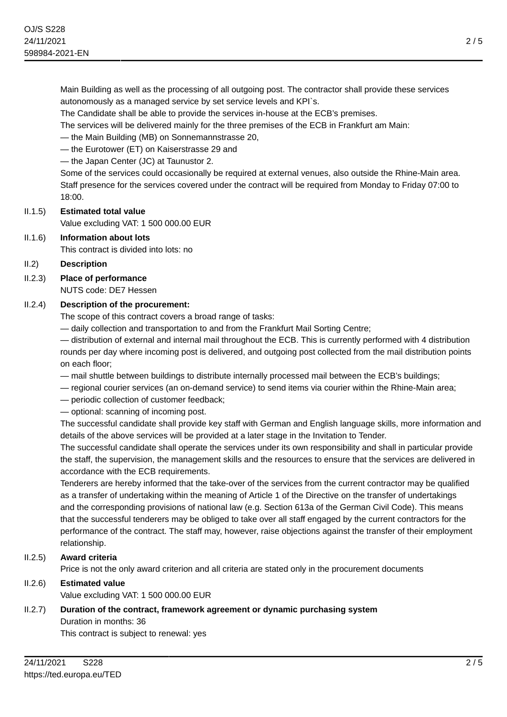Main Building as well as the processing of all outgoing post. The contractor shall provide these services autonomously as a managed service by set service levels and KPI`s.

The Candidate shall be able to provide the services in-house at the ECB's premises.

The services will be delivered mainly for the three premises of the ECB in Frankfurt am Main:

— the Main Building (MB) on Sonnemannstrasse 20,

— the Eurotower (ET) on Kaiserstrasse 29 and

— the Japan Center (JC) at Taunustor 2.

Some of the services could occasionally be required at external venues, also outside the Rhine-Main area. Staff presence for the services covered under the contract will be required from Monday to Friday 07:00 to 18:00.

# II.1.5) **Estimated total value**

Value excluding VAT: 1 500 000.00 EUR

II.1.6) **Information about lots**

This contract is divided into lots: no

## II.2) **Description**

## II.2.3) **Place of performance**

NUTS code: DE7 Hessen

## II.2.4) **Description of the procurement:**

The scope of this contract covers a broad range of tasks:

— daily collection and transportation to and from the Frankfurt Mail Sorting Centre;

— distribution of external and internal mail throughout the ECB. This is currently performed with 4 distribution rounds per day where incoming post is delivered, and outgoing post collected from the mail distribution points on each floor;

- mail shuttle between buildings to distribute internally processed mail between the ECB's buildings;
- regional courier services (an on-demand service) to send items via courier within the Rhine-Main area;
- periodic collection of customer feedback;
- optional: scanning of incoming post.

The successful candidate shall provide key staff with German and English language skills, more information and details of the above services will be provided at a later stage in the Invitation to Tender.

The successful candidate shall operate the services under its own responsibility and shall in particular provide the staff, the supervision, the management skills and the resources to ensure that the services are delivered in accordance with the ECB requirements.

Tenderers are hereby informed that the take-over of the services from the current contractor may be qualified as a transfer of undertaking within the meaning of Article 1 of the Directive on the transfer of undertakings and the corresponding provisions of national law (e.g. Section 613a of the German Civil Code). This means that the successful tenderers may be obliged to take over all staff engaged by the current contractors for the performance of the contract. The staff may, however, raise objections against the transfer of their employment relationship.

# II.2.5) **Award criteria**

Price is not the only award criterion and all criteria are stated only in the procurement documents

#### II.2.6) **Estimated value** Value excluding VAT: 1 500 000.00 EUR

# II.2.7) **Duration of the contract, framework agreement or dynamic purchasing system** Duration in months: 36

This contract is subject to renewal: yes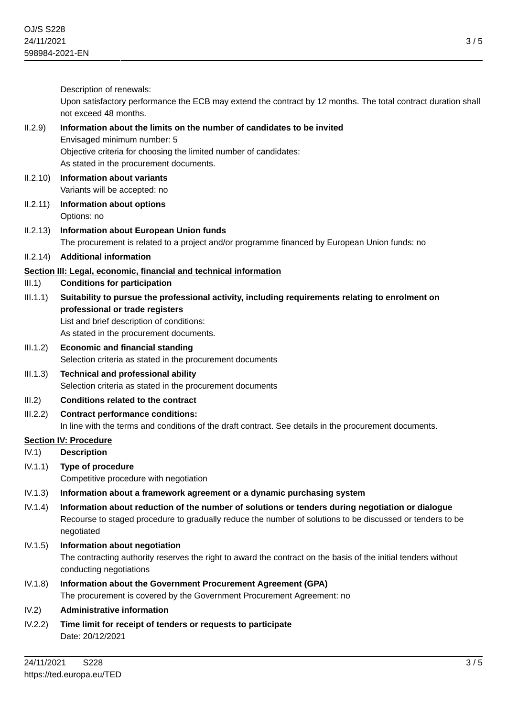Description of renewals: Upon satisfactory performance the ECB may extend the contract by 12 months. The total contract duration shall not exceed 48 months. II.2.9) **Information about the limits on the number of candidates to be invited** Envisaged minimum number: 5 Objective criteria for choosing the limited number of candidates: As stated in the procurement documents. II.2.10) **Information about variants** Variants will be accepted: no II.2.11) **Information about options** Options: no II.2.13) **Information about European Union funds** The procurement is related to a project and/or programme financed by European Union funds: no II.2.14) **Additional information Section III: Legal, economic, financial and technical information** III.1) **Conditions for participation** III.1.1) **Suitability to pursue the professional activity, including requirements relating to enrolment on professional or trade registers** List and brief description of conditions: As stated in the procurement documents. III.1.2) **Economic and financial standing** Selection criteria as stated in the procurement documents III.1.3) **Technical and professional ability** Selection criteria as stated in the procurement documents III.2) **Conditions related to the contract** III.2.2) **Contract performance conditions:** In line with the terms and conditions of the draft contract. See details in the procurement documents. **Section IV: Procedure** IV.1) **Description** IV.1.1) **Type of procedure** Competitive procedure with negotiation IV.1.3) **Information about a framework agreement or a dynamic purchasing system** IV.1.4) **Information about reduction of the number of solutions or tenders during negotiation or dialogue** Recourse to staged procedure to gradually reduce the number of solutions to be discussed or tenders to be negotiated IV.1.5) **Information about negotiation** The contracting authority reserves the right to award the contract on the basis of the initial tenders without conducting negotiations

- IV.1.8) **Information about the Government Procurement Agreement (GPA)** The procurement is covered by the Government Procurement Agreement: no
- IV.2) **Administrative information**
- IV.2.2) **Time limit for receipt of tenders or requests to participate** Date: 20/12/2021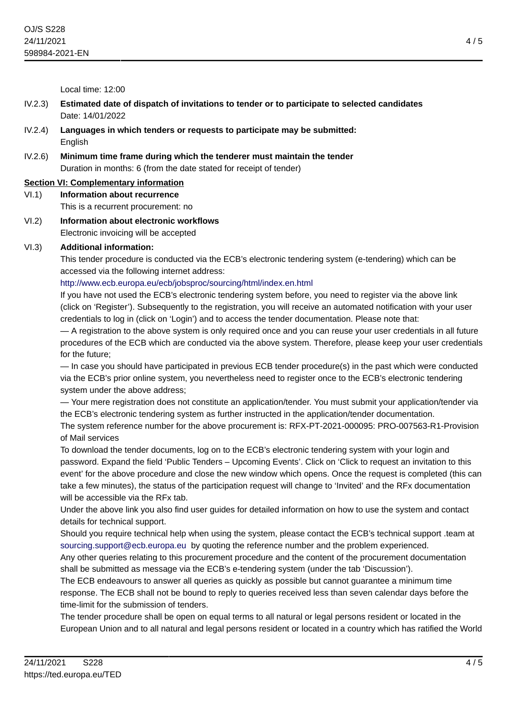Local time: 12:00

- IV.2.3) **Estimated date of dispatch of invitations to tender or to participate to selected candidates** Date: 14/01/2022
- IV.2.4) **Languages in which tenders or requests to participate may be submitted: English**
- IV.2.6) **Minimum time frame during which the tenderer must maintain the tender** Duration in months: 6 (from the date stated for receipt of tender)

# **Section VI: Complementary information**

VI.1) **Information about recurrence** This is a recurrent procurement: no

VI.2) **Information about electronic workflows** Electronic invoicing will be accepted

## VI.3) **Additional information:**

This tender procedure is conducted via the ECB's electronic tendering system (e-tendering) which can be accessed via the following internet address:

<http://www.ecb.europa.eu/ecb/jobsproc/sourcing/html/index.en.html>

If you have not used the ECB's electronic tendering system before, you need to register via the above link (click on 'Register'). Subsequently to the registration, you will receive an automated notification with your user credentials to log in (click on 'Login') and to access the tender documentation. Please note that:

— A registration to the above system is only required once and you can reuse your user credentials in all future procedures of the ECB which are conducted via the above system. Therefore, please keep your user credentials for the future;

— In case you should have participated in previous ECB tender procedure(s) in the past which were conducted via the ECB's prior online system, you nevertheless need to register once to the ECB's electronic tendering system under the above address;

— Your mere registration does not constitute an application/tender. You must submit your application/tender via the ECB's electronic tendering system as further instructed in the application/tender documentation.

The system reference number for the above procurement is: RFX-PT-2021-000095: PRO-007563-R1-Provision of Mail services

To download the tender documents, log on to the ECB's electronic tendering system with your login and password. Expand the field 'Public Tenders – Upcoming Events'. Click on 'Click to request an invitation to this event' for the above procedure and close the new window which opens. Once the request is completed (this can take a few minutes), the status of the participation request will change to 'Invited' and the RFx documentation will be accessible via the RFx tab.

Under the above link you also find user guides for detailed information on how to use the system and contact details for technical support.

Should you require technical help when using the system, please contact the ECB's technical support .team at [sourcing.support@ecb.europa.eu](mailto:sourcing.support@ecb.europa.eu) by quoting the reference number and the problem experienced.

Any other queries relating to this procurement procedure and the content of the procurement documentation shall be submitted as message via the ECB's e-tendering system (under the tab 'Discussion').

The ECB endeavours to answer all queries as quickly as possible but cannot guarantee a minimum time response. The ECB shall not be bound to reply to queries received less than seven calendar days before the time-limit for the submission of tenders.

The tender procedure shall be open on equal terms to all natural or legal persons resident or located in the European Union and to all natural and legal persons resident or located in a country which has ratified the World